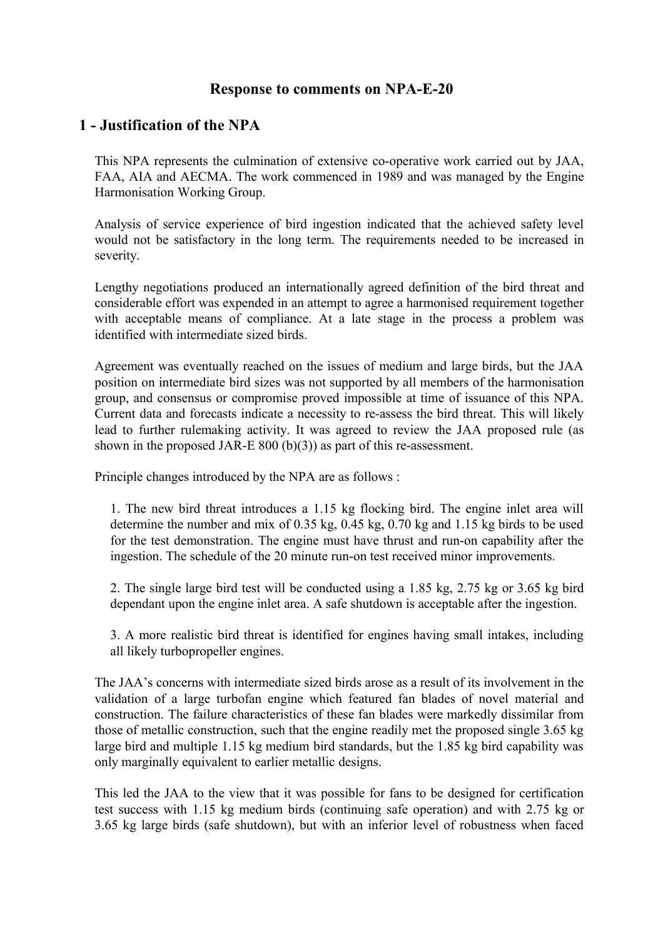#### **Response to comments on NPA-E-20**

#### **1 - Justification of the NPA**

This NPA represents the culmination of extensive co-operative work carried out by JAA, FAA, AIA and AECMA. The work commenced in 1989 and was managed by the Engine Harmonisation Working Group.

Analysis of service experience of bird ingestion indicated that the achieved safety level would not be satisfactory in the long term. The requirements needed to be increased in severity.

Lengthy negotiations produced an internationally agreed definition of the bird threat and considerable effort was expended in an attempt to agree a harmonised requirement together with acceptable means of compliance. At a late stage in the process a problem was identified with intermediate sized birds.

Agreement was eventually reached on the issues of medium and large birds, but the JAA position on intermediate bird sizes was not supported by all members of the harmonisation group, and consensus or compromise proved impossible at time of issuance of this NPA. Current data and forecasts indicate a necessity to re-assess the bird threat. This will likely lead to further rulemaking activity. It was agreed to review the JAA proposed rule (as shown in the proposed JAR-E 800 (b)(3)) as part of this re-assessment.

Principle changes introduced by the NPA are as follows :

1. The new bird threat introduces a 1.15 kg flocking bird. The engine inlet area will determine the number and mix of 0.35 kg, 0.45 kg, 0.70 kg and 1.15 kg birds to be used for the test demonstration. The engine must have thrust and run-on capability after the ingestion. The schedule of the 20 minute run-on test received minor improvements.

2. The single large bird test will be conducted using a 1.85 kg, 2.75 kg or 3.65 kg bird dependant upon the engine inlet area. A safe shutdown is acceptable after the ingestion.

3. A more realistic bird threat is identified for engines having small intakes, including all likely turbopropeller engines.

The JAA's concerns with intermediate sized birds arose as a result of its involvement in the validation of a large turbofan engine which featured fan blades of novel material and construction. The failure characteristics of these fan blades were markedly dissimilar from those of metallic construction, such that the engine readily met the proposed single 3.65 kg large bird and multiple 1.15 kg medium bird standards, but the 1.85 kg bird capability was only marginally equivalent to earlier metallic designs.

This led the JAA to the view that it was possible for fans to be designed for certification test success with 1.15 kg medium birds (continuing safe operation) and with 2.75 kg or 3.65 kg large birds (safe shutdown), but with an inferior level of robustness when faced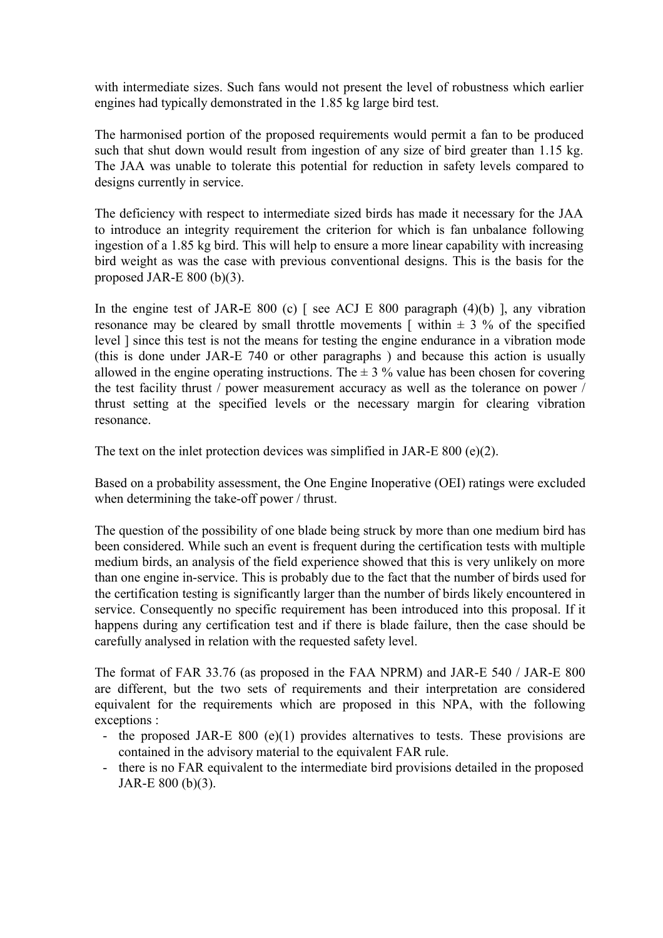with intermediate sizes. Such fans would not present the level of robustness which earlier engines had typically demonstrated in the 1.85 kg large bird test.

The harmonised portion of the proposed requirements would permit a fan to be produced such that shut down would result from ingestion of any size of bird greater than 1.15 kg. The JAA was unable to tolerate this potential for reduction in safety levels compared to designs currently in service.

The deficiency with respect to intermediate sized birds has made it necessary for the JAA to introduce an integrity requirement the criterion for which is fan unbalance following ingestion of a 1.85 kg bird. This will help to ensure a more linear capability with increasing bird weight as was the case with previous conventional designs. This is the basis for the proposed JAR-E 800 (b)(3).

In the engine test of JAR-E 800 (c) [ see ACJ E 800 paragraph (4)(b) ], any vibration resonance may be cleared by small throttle movements  $\lceil$  within  $\pm$  3 % of the specified level ] since this test is not the means for testing the engine endurance in a vibration mode (this is done under JAR-E 740 or other paragraphs ) and because this action is usually allowed in the engine operating instructions. The  $\pm$  3 % value has been chosen for covering the test facility thrust / power measurement accuracy as well as the tolerance on power / thrust setting at the specified levels or the necessary margin for clearing vibration resonance.

The text on the inlet protection devices was simplified in JAR-E 800 (e)(2).

Based on a probability assessment, the One Engine Inoperative (OEI) ratings were excluded when determining the take-off power / thrust.

The question of the possibility of one blade being struck by more than one medium bird has been considered. While such an event is frequent during the certification tests with multiple medium birds, an analysis of the field experience showed that this is very unlikely on more than one engine in-service. This is probably due to the fact that the number of birds used for the certification testing is significantly larger than the number of birds likely encountered in service. Consequently no specific requirement has been introduced into this proposal. If it happens during any certification test and if there is blade failure, then the case should be carefully analysed in relation with the requested safety level.

The format of FAR 33.76 (as proposed in the FAA NPRM) and JAR-E 540 / JAR-E 800 are different, but the two sets of requirements and their interpretation are considered equivalent for the requirements which are proposed in this NPA, with the following exceptions :

- the proposed JAR-E 800 (e)(1) provides alternatives to tests. These provisions are contained in the advisory material to the equivalent FAR rule.
- there is no FAR equivalent to the intermediate bird provisions detailed in the proposed JAR-E 800 (b)(3).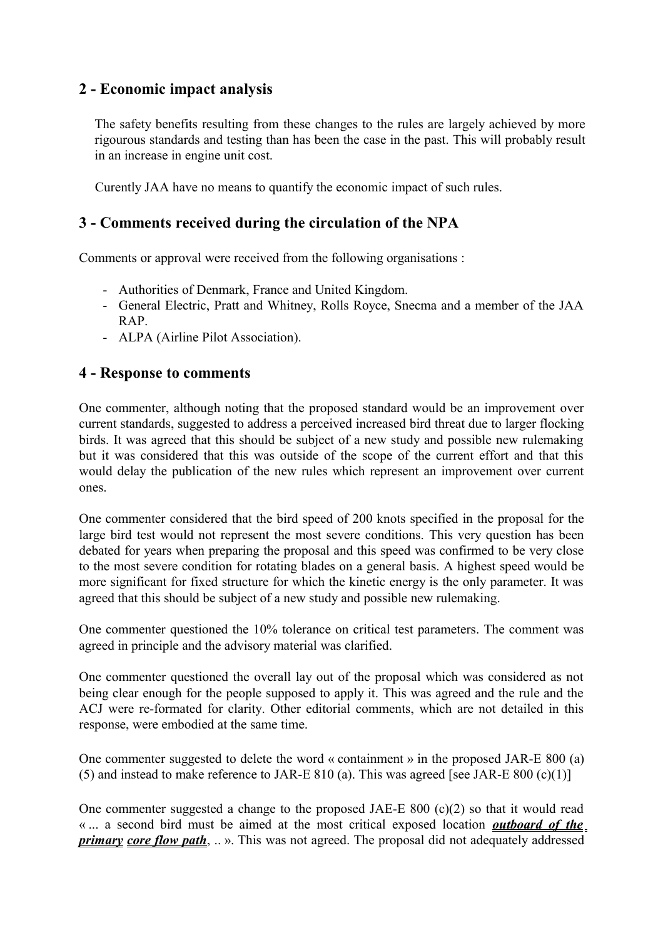# **2 - Economic impact analysis**

The safety benefits resulting from these changes to the rules are largely achieved by more rigourous standards and testing than has been the case in the past. This will probably result in an increase in engine unit cost.

Curently JAA have no means to quantify the economic impact of such rules.

# **3 - Comments received during the circulation of the NPA**

Comments or approval were received from the following organisations :

- Authorities of Denmark, France and United Kingdom.
- General Electric, Pratt and Whitney, Rolls Royce, Snecma and a member of the JAA RAP.
- ALPA (Airline Pilot Association).

### **4 - Response to comments**

One commenter, although noting that the proposed standard would be an improvement over current standards, suggested to address a perceived increased bird threat due to larger flocking birds. It was agreed that this should be subject of a new study and possible new rulemaking but it was considered that this was outside of the scope of the current effort and that this would delay the publication of the new rules which represent an improvement over current ones.

One commenter considered that the bird speed of 200 knots specified in the proposal for the large bird test would not represent the most severe conditions. This very question has been debated for years when preparing the proposal and this speed was confirmed to be very close to the most severe condition for rotating blades on a general basis. A highest speed would be more significant for fixed structure for which the kinetic energy is the only parameter. It was agreed that this should be subject of a new study and possible new rulemaking.

One commenter questioned the 10% tolerance on critical test parameters. The comment was agreed in principle and the advisory material was clarified.

One commenter questioned the overall lay out of the proposal which was considered as not being clear enough for the people supposed to apply it. This was agreed and the rule and the ACJ were re-formated for clarity. Other editorial comments, which are not detailed in this response, were embodied at the same time.

One commenter suggested to delete the word « containment » in the proposed JAR-E 800 (a) (5) and instead to make reference to JAR-E 810 (a). This was agreed [see JAR-E 800  $(c)(1)$ ]

One commenter suggested a change to the proposed JAE-E 800  $(c)(2)$  so that it would read « ... a second bird must be aimed at the most critical exposed location *outboard of the primary core flow path*, .. ». This was not agreed. The proposal did not adequately addressed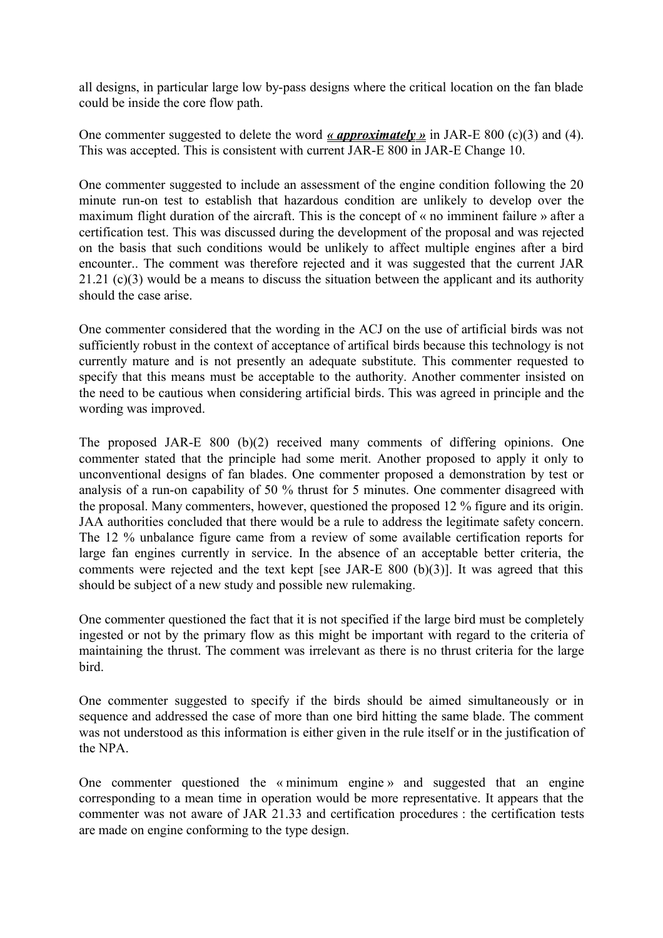all designs, in particular large low by-pass designs where the critical location on the fan blade could be inside the core flow path.

One commenter suggested to delete the word *« approximately »* in JAR-E 800 (c)(3) and (4). This was accepted. This is consistent with current JAR-E 800 in JAR-E Change 10.

One commenter suggested to include an assessment of the engine condition following the 20 minute run-on test to establish that hazardous condition are unlikely to develop over the maximum flight duration of the aircraft. This is the concept of « no imminent failure » after a certification test. This was discussed during the development of the proposal and was rejected on the basis that such conditions would be unlikely to affect multiple engines after a bird encounter.. The comment was therefore rejected and it was suggested that the current JAR 21.21 (c)(3) would be a means to discuss the situation between the applicant and its authority should the case arise.

One commenter considered that the wording in the ACJ on the use of artificial birds was not sufficiently robust in the context of acceptance of artifical birds because this technology is not currently mature and is not presently an adequate substitute. This commenter requested to specify that this means must be acceptable to the authority. Another commenter insisted on the need to be cautious when considering artificial birds. This was agreed in principle and the wording was improved.

The proposed JAR-E 800 (b)(2) received many comments of differing opinions. One commenter stated that the principle had some merit. Another proposed to apply it only to unconventional designs of fan blades. One commenter proposed a demonstration by test or analysis of a run-on capability of 50 % thrust for 5 minutes. One commenter disagreed with the proposal. Many commenters, however, questioned the proposed 12 % figure and its origin. JAA authorities concluded that there would be a rule to address the legitimate safety concern. The 12 % unbalance figure came from a review of some available certification reports for large fan engines currently in service. In the absence of an acceptable better criteria, the comments were rejected and the text kept [see JAR-E 800 (b)(3)]. It was agreed that this should be subject of a new study and possible new rulemaking.

One commenter questioned the fact that it is not specified if the large bird must be completely ingested or not by the primary flow as this might be important with regard to the criteria of maintaining the thrust. The comment was irrelevant as there is no thrust criteria for the large bird.

One commenter suggested to specify if the birds should be aimed simultaneously or in sequence and addressed the case of more than one bird hitting the same blade. The comment was not understood as this information is either given in the rule itself or in the justification of the NPA.

One commenter questioned the « minimum engine » and suggested that an engine corresponding to a mean time in operation would be more representative. It appears that the commenter was not aware of JAR 21.33 and certification procedures : the certification tests are made on engine conforming to the type design.